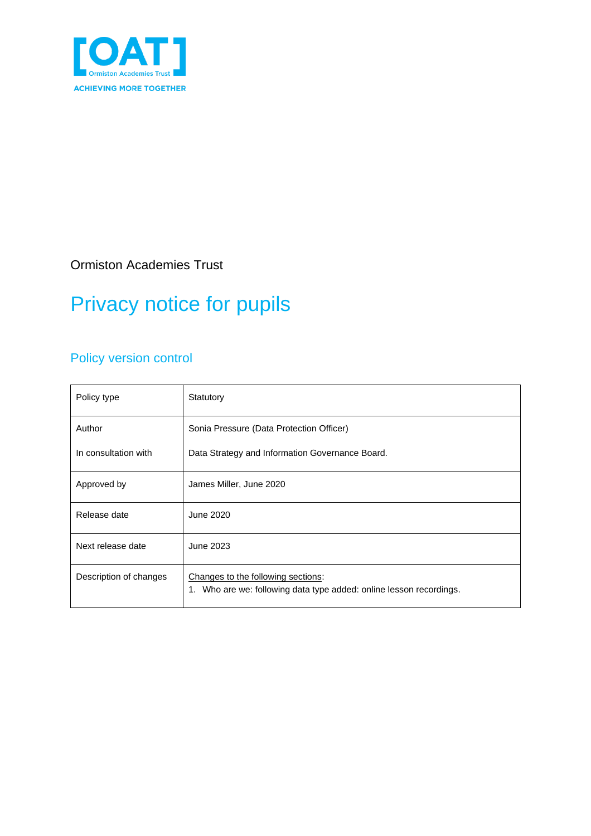

Ormiston Academies Trust

# Privacy notice for pupils

### Policy version control

| Policy type            | Statutory                                                                                                 |  |
|------------------------|-----------------------------------------------------------------------------------------------------------|--|
| Author                 | Sonia Pressure (Data Protection Officer)                                                                  |  |
| In consultation with   | Data Strategy and Information Governance Board.                                                           |  |
| Approved by            | James Miller, June 2020                                                                                   |  |
| Release date           | June 2020                                                                                                 |  |
| Next release date      | June 2023                                                                                                 |  |
| Description of changes | Changes to the following sections:<br>1. Who are we: following data type added: online lesson recordings. |  |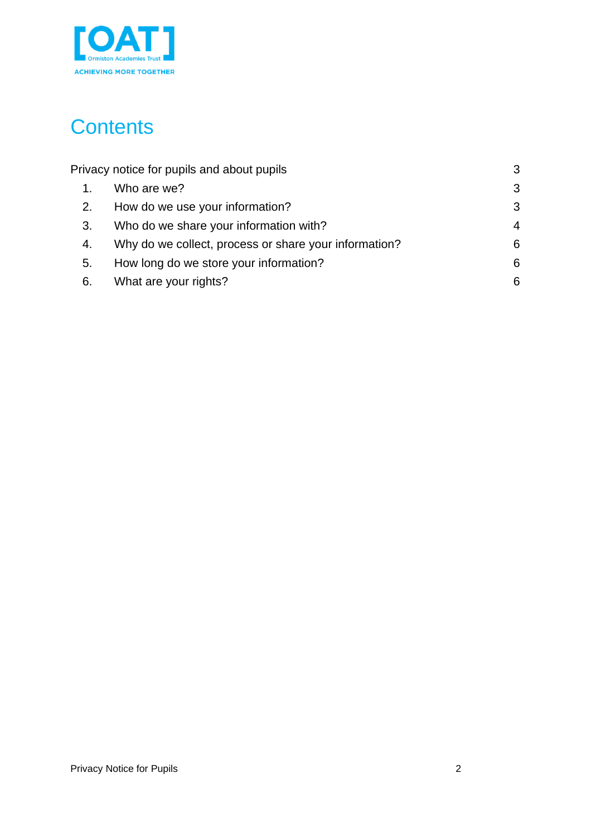

# **Contents**

| Privacy notice for pupils and about pupils |                                                       | 3              |
|--------------------------------------------|-------------------------------------------------------|----------------|
| 1.                                         | Who are we?                                           | 3              |
| 2.                                         | How do we use your information?                       | 3              |
| 3.                                         | Who do we share your information with?                | $\overline{4}$ |
| 4.                                         | Why do we collect, process or share your information? | 6              |
| 5.                                         | How long do we store your information?                | 6              |
| 6.                                         | What are your rights?                                 | 6              |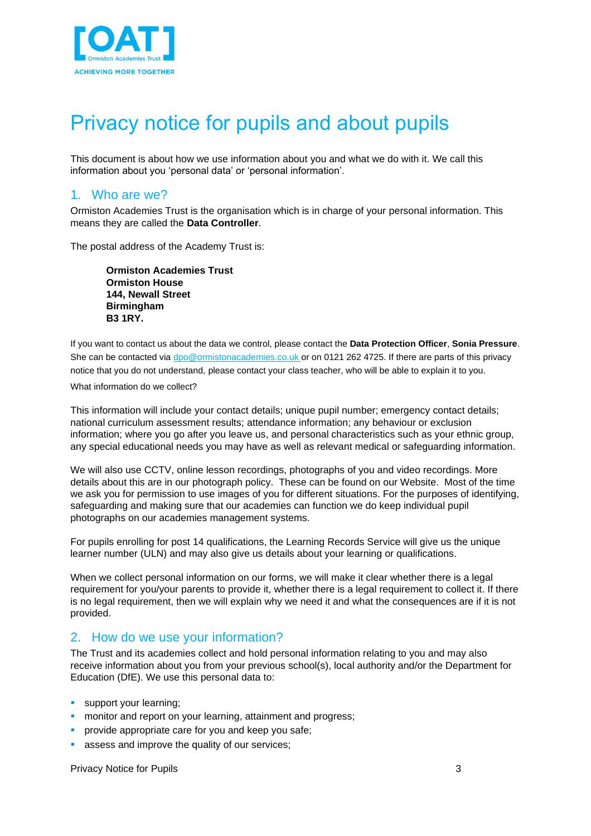

### <span id="page-2-0"></span>Privacy notice for pupils and about pupils

This document is about how we use information about you and what we do with it. We call this information about you 'personal data' or 'personal information'.

#### <span id="page-2-1"></span>1. Who are we?

Ormiston Academies Trust is the organisation which is in charge of your personal information. This means they are called the **Data Controller**.

The postal address of the Academy Trust is:

**Ormiston Academies Trust Ormiston House 144, Newall Street Birmingham B3 1RY.**

If you want to contact us about the data we control, please contact the **Data Protection Officer**, **Sonia Pressure**. She can be contacted vi[a dpo@ormistonacademies.co.uk](mailto:dpo@ormistonacademies.co.uk) or on 0121 262 4725. If there are parts of this privacy notice that you do not understand, please contact your class teacher, who will be able to explain it to you.

#### What information do we collect?

This information will include your contact details; unique pupil number; emergency contact details; national curriculum assessment results; attendance information; any behaviour or exclusion information; where you go after you leave us, and personal characteristics such as your ethnic group, any special educational needs you may have as well as relevant medical or safeguarding information.

We will also use CCTV, online lesson recordings, photographs of you and video recordings. More details about this are in our photograph policy. These can be found on our Website. Most of the time we ask you for permission to use images of you for different situations. For the purposes of identifying, safeguarding and making sure that our academies can function we do keep individual pupil photographs on our academies management systems.

For pupils enrolling for post 14 qualifications, the Learning Records Service will give us the unique learner number (ULN) and may also give us details about your learning or qualifications.

When we collect personal information on our forms, we will make it clear whether there is a legal requirement for you/your parents to provide it, whether there is a legal requirement to collect it. If there is no legal requirement, then we will explain why we need it and what the consequences are if it is not provided.

#### <span id="page-2-2"></span>2. How do we use your information?

The Trust and its academies collect and hold personal information relating to you and may also receive information about you from your previous school(s), local authority and/or the Department for Education (DfE). We use this personal data to:

- **•** support your learning;
- **monitor and report on your learning, attainment and progress;**
- provide appropriate care for you and keep you safe;
- assess and improve the quality of our services;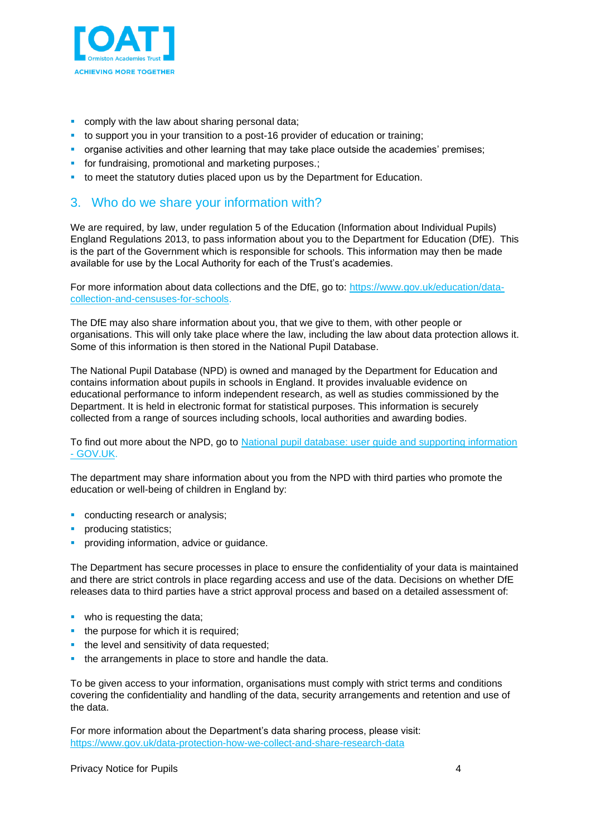

- comply with the law about sharing personal data;
- to support you in your transition to a post-16 provider of education or training;
- **•** organise activities and other learning that may take place outside the academies' premises;
- **•** for fundraising, promotional and marketing purposes.;
- **to meet the statutory duties placed upon us by the Department for Education.**

#### <span id="page-3-0"></span>3. Who do we share your information with?

We are required, by law, under regulation 5 of the Education (Information about Individual Pupils) England Regulations 2013, to pass information about you to the Department for Education (DfE). This is the part of the Government which is responsible for schools. This information may then be made available for use by the Local Authority for each of the Trust's academies.

For more information about data collections and the DfE, go to: [https://www.gov.uk/education/data](https://www.gov.uk/education/data-collection-and-censuses-for-schools)[collection-and-censuses-for-schools.](https://www.gov.uk/education/data-collection-and-censuses-for-schools)

The DfE may also share information about you, that we give to them, with other people or organisations. This will only take place where the law, including the law about data protection allows it. Some of this information is then stored in the National Pupil Database.

The National Pupil Database (NPD) is owned and managed by the Department for Education and contains information about pupils in schools in England. It provides invaluable evidence on educational performance to inform independent research, as well as studies commissioned by the Department. It is held in electronic format for statistical purposes. This information is securely collected from a range of sources including schools, local authorities and awarding bodies.

To find out more about the NPD, go to National [pupil database: user guide and supporting information](https://www.gov.uk/government/publications/national-pupil-database-user-guide-and-supporting-information)  - [GOV.UK.](https://www.gov.uk/government/publications/national-pupil-database-user-guide-and-supporting-information)

The department may share information about you from the NPD with third parties who promote the education or well-being of children in England by:

- conducting research or analysis;
- producing statistics;
- providing information, advice or guidance.

The Department has secure processes in place to ensure the confidentiality of your data is maintained and there are strict controls in place regarding access and use of the data. Decisions on whether DfE releases data to third parties have a strict approval process and based on a detailed assessment of:

- who is requesting the data;
- the purpose for which it is required;
- **•** the level and sensitivity of data requested;
- the arrangements in place to store and handle the data.

To be given access to your information, organisations must comply with strict terms and conditions covering the confidentiality and handling of the data, security arrangements and retention and use of the data.

For more information about the Department's data sharing process, please visit: <https://www.gov.uk/data-protection-how-we-collect-and-share-research-data>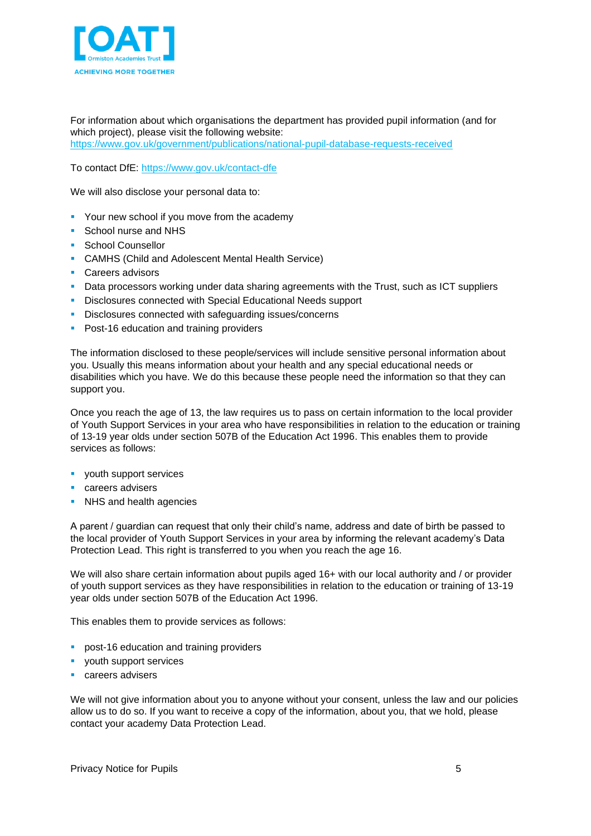

For information about which organisations the department has provided pupil information (and for which project), please visit the following website:

<https://www.gov.uk/government/publications/national-pupil-database-requests-received>

To contact DfE: <https://www.gov.uk/contact-dfe>

We will also disclose your personal data to:

- Your new school if you move from the academy
- School nurse and NHS
- School Counsellor
- CAMHS (Child and Adolescent Mental Health Service)
- Careers advisors
- **Data processors working under data sharing agreements with the Trust, such as ICT suppliers**
- **EXEDENCIOS CONFERED EDGE CONNOCTED** Disclosures connected with Special Educational Needs support
- Disclosures connected with safeguarding issues/concerns
- **Post-16 education and training providers**

The information disclosed to these people/services will include sensitive personal information about you. Usually this means information about your health and any special educational needs or disabilities which you have. We do this because these people need the information so that they can support you.

Once you reach the age of 13, the law requires us to pass on certain information to the local provider of Youth Support Services in your area who have responsibilities in relation to the education or training of 13-19 year olds under section 507B of the Education Act 1996. This enables them to provide services as follows:

- youth support services
- careers advisers
- **EXEL S** and health agencies

A parent / guardian can request that only their child's name, address and date of birth be passed to the local provider of Youth Support Services in your area by informing the relevant academy's Data Protection Lead. This right is transferred to you when you reach the age 16.

We will also share certain information about pupils aged 16+ with our local authority and / or provider of youth support services as they have responsibilities in relation to the education or training of 13-19 year olds under section 507B of the Education Act 1996.

This enables them to provide services as follows:

- **post-16 education and training providers**
- youth support services
- careers advisers

We will not give information about you to anyone without your consent, unless the law and our policies allow us to do so. If you want to receive a copy of the information, about you, that we hold, please contact your academy Data Protection Lead.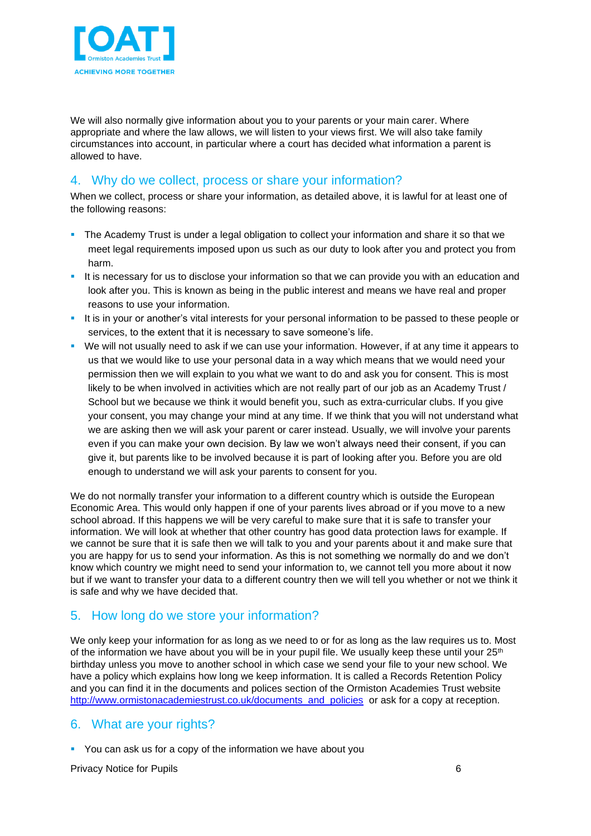

We will also normally give information about you to your parents or your main carer. Where appropriate and where the law allows, we will listen to your views first. We will also take family circumstances into account, in particular where a court has decided what information a parent is allowed to have.

### <span id="page-5-0"></span>4. Why do we collect, process or share your information?

When we collect, process or share your information, as detailed above, it is lawful for at least one of the following reasons:

- **•** The Academy Trust is under a legal obligation to collect your information and share it so that we meet legal requirements imposed upon us such as our duty to look after you and protect you from harm.
- It is necessary for us to disclose your information so that we can provide you with an education and look after you. This is known as being in the public interest and means we have real and proper reasons to use your information.
- It is in your or another's vital interests for your personal information to be passed to these people or services, to the extent that it is necessary to save someone's life.
- We will not usually need to ask if we can use your information. However, if at any time it appears to us that we would like to use your personal data in a way which means that we would need your permission then we will explain to you what we want to do and ask you for consent. This is most likely to be when involved in activities which are not really part of our job as an Academy Trust / School but we because we think it would benefit you, such as extra-curricular clubs. If you give your consent, you may change your mind at any time. If we think that you will not understand what we are asking then we will ask your parent or carer instead. Usually, we will involve your parents even if you can make your own decision. By law we won't always need their consent, if you can give it, but parents like to be involved because it is part of looking after you. Before you are old enough to understand we will ask your parents to consent for you.

We do not normally transfer your information to a different country which is outside the European Economic Area. This would only happen if one of your parents lives abroad or if you move to a new school abroad. If this happens we will be very careful to make sure that it is safe to transfer your information. We will look at whether that other country has good data protection laws for example. If we cannot be sure that it is safe then we will talk to you and your parents about it and make sure that you are happy for us to send your information. As this is not something we normally do and we don't know which country we might need to send your information to, we cannot tell you more about it now but if we want to transfer your data to a different country then we will tell you whether or not we think it is safe and why we have decided that.

#### <span id="page-5-1"></span>5. How long do we store your information?

We only keep your information for as long as we need to or for as long as the law requires us to. Most of the information we have about you will be in your pupil file. We usually keep these until your  $25<sup>th</sup>$ birthday unless you move to another school in which case we send your file to your new school. We have a policy which explains how long we keep information. It is called a Records Retention Policy and you can find it in the documents and polices section of the Ormiston Academies Trust website [http://www.ormistonacademiestrust.co.uk/documents\\_and\\_policies](http://www.ormistonacademiestrust.co.uk/documents_and_policies) or ask for a copy at reception.

#### <span id="page-5-2"></span>6. What are your rights?

■ You can ask us for a copy of the information we have about you

Privacy Notice for Pupils 6